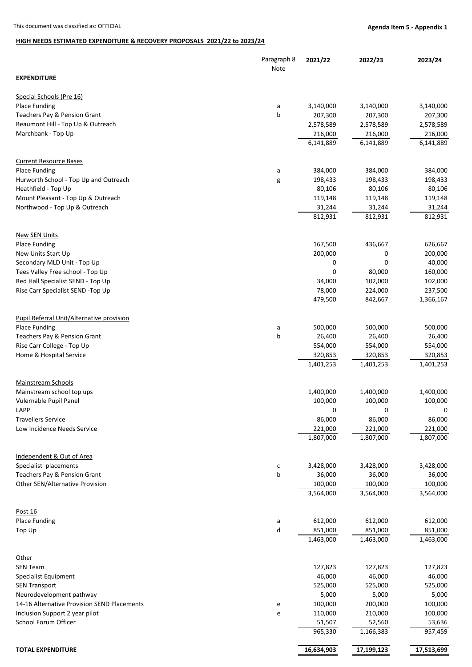## **HIGH NEEDS ESTIMATED EXPENDITURE & RECOVERY PROPOSALS 2021/22 to 2023/24**

|                                                               | Paragraph 8<br>Note | 2021/22              | 2022/23              | 2023/24              |
|---------------------------------------------------------------|---------------------|----------------------|----------------------|----------------------|
| <b>EXPENDITURE</b>                                            |                     |                      |                      |                      |
| Special Schools (Pre 16)                                      |                     |                      |                      |                      |
| Place Funding                                                 | a                   | 3,140,000            | 3,140,000            | 3,140,000            |
| Teachers Pay & Pension Grant                                  | b                   | 207,300              | 207,300              | 207,300              |
| Beaumont Hill - Top Up & Outreach<br>Marchbank - Top Up       |                     | 2,578,589<br>216,000 | 2,578,589<br>216,000 | 2,578,589<br>216,000 |
|                                                               |                     | 6,141,889            | 6,141,889            | 6,141,889            |
|                                                               |                     |                      |                      |                      |
| <b>Current Resource Bases</b>                                 |                     |                      |                      |                      |
| <b>Place Funding</b><br>Hurworth School - Top Up and Outreach | a                   | 384,000<br>198,433   | 384,000<br>198,433   | 384,000<br>198,433   |
| Heathfield - Top Up                                           | g                   | 80,106               | 80,106               | 80,106               |
| Mount Pleasant - Top Up & Outreach                            |                     | 119,148              | 119,148              | 119,148              |
| Northwood - Top Up & Outreach                                 |                     | 31,244               | 31,244               | 31,244               |
|                                                               |                     | 812,931              | 812,931              | 812,931              |
| <b>New SEN Units</b>                                          |                     |                      |                      |                      |
| Place Funding                                                 |                     | 167,500              | 436,667              | 626,667              |
| New Units Start Up                                            |                     | 200,000              | 0                    | 200,000              |
| Secondary MLD Unit - Top Up                                   |                     | 0                    | 0                    | 40,000               |
| Tees Valley Free school - Top Up                              |                     | 0                    | 80,000               | 160,000              |
| Red Hall Specialist SEND - Top Up                             |                     | 34,000               | 102,000              | 102,000              |
| Rise Carr Specialist SEND -Top Up                             |                     | 78,000               | 224,000              | 237,500              |
|                                                               |                     | 479,500              | 842,667              | 1,366,167            |
| Pupil Referral Unit/Alternative provision                     |                     |                      |                      |                      |
| <b>Place Funding</b>                                          | a                   | 500,000              | 500,000              | 500,000              |
| Teachers Pay & Pension Grant                                  | b                   | 26,400               | 26,400               | 26,400               |
| Rise Carr College - Top Up<br>Home & Hospital Service         |                     | 554,000<br>320,853   | 554,000<br>320,853   | 554,000<br>320,853   |
|                                                               |                     | 1,401,253            | 1,401,253            | 1,401,253            |
|                                                               |                     |                      |                      |                      |
| <b>Mainstream Schools</b>                                     |                     |                      |                      |                      |
| Mainstream school top ups<br>Vulernable Pupil Panel           |                     | 1,400,000<br>100,000 | 1,400,000<br>100,000 | 1,400,000<br>100,000 |
| LAPP                                                          |                     | 0                    | 0                    | 0                    |
| <b>Travellers Service</b>                                     |                     | 86,000               | 86,000               | 86,000               |
| Low Incidence Needs Service                                   |                     | 221,000              | 221,000              | 221,000              |
|                                                               |                     | 1,807,000            | 1,807,000            | 1,807,000            |
| Independent & Out of Area                                     |                     |                      |                      |                      |
| Specialist placements                                         | с                   | 3,428,000            | 3,428,000            | 3,428,000            |
| Teachers Pay & Pension Grant                                  | b                   | 36,000               | 36,000               | 36,000               |
| Other SEN/Alternative Provision                               |                     | 100,000              | 100,000              | 100,000              |
|                                                               |                     | 3,564,000            | 3,564,000            | 3,564,000            |
| Post 16                                                       |                     |                      |                      |                      |
| <b>Place Funding</b>                                          | a                   | 612,000              | 612,000              | 612,000              |
| Top Up                                                        | d                   | 851,000              | 851,000              | 851,000              |
|                                                               |                     | 1,463,000            | 1,463,000            | 1,463,000            |
| Other                                                         |                     |                      |                      |                      |
| <b>SEN Team</b>                                               |                     | 127,823              | 127,823              | 127,823              |
| Specialist Equipment                                          |                     | 46,000               | 46,000               | 46,000               |
| <b>SEN Transport</b>                                          |                     | 525,000              | 525,000              | 525,000              |
| Neurodevelopment pathway                                      |                     | 5,000                | 5,000                | 5,000                |
| 14-16 Alternative Provision SEND Placements                   | e                   | 100,000              | 200,000              | 100,000              |
| Inclusion Support 2 year pilot<br>School Forum Officer        | e                   | 110,000              | 210,000              | 100,000              |
|                                                               |                     | 51,507<br>965,330    | 52,560<br>1,166,383  | 53,636<br>957,459    |
|                                                               |                     |                      |                      |                      |
| <b>TOTAL EXPENDITURE</b>                                      |                     | 16,634,903           | 17,199,123           | 17,513,699           |